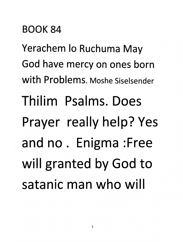## *BOOK 84*

*Yerachem lo Ruchuma May God have mercy on ones born With Problems. Moshe Siselsender Thilim Psalms. Does Prayer really help? Yes and no . Enigma :Free will granted by God to satanic man who will*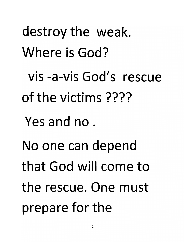destroy the weak. Where is God? vis -a-vis God's rescue of the victims ???? Yes and no. No one can depend that God will come to the rescue. One must prepare for the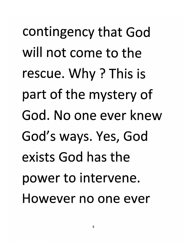*contingency that God will not come to the rescue. Why ? This is part of the mystery of God. No one ever knew God's ways. Yes, God exists God has the power to intervene. However no one ever*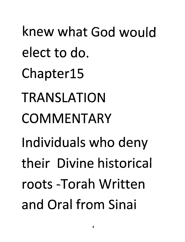knew what God would elect to do. Chapterl5 TRANSLATION COMMENTARY Individuals who deny their Divine historical roots -Torah Written and Oral from Sinai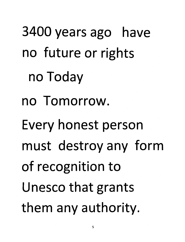3400 years ago have no future or rights no Today no Tomorrow. Every honest person must destroy any form of recognition to Unesco that grants them any authority.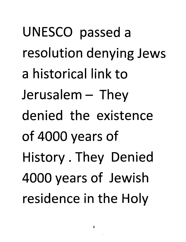UNESCO passed a resolution denying Jews a historical link to  $Jerusalem - They$ denied the existence of 4000 years of History. They Denied 4000 years of Jewish residence in the Holy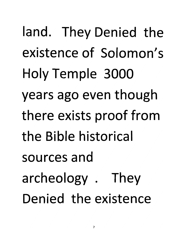*land. They Denied the existence of Solomon's Holy Temple 3000 years ago even though there exists proof from the Bible historical sources and archeology . They Denied the existence*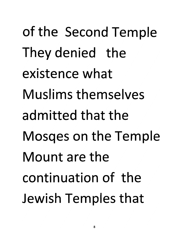of the Second Temple They denied the existence what Muslims themselves admitted that the Mosqes on the Temple Mount are the continuation of the Jewish Temples that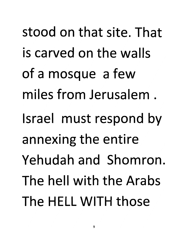*stood on that site. That is carved on the walls of a mosque a few miles from Jerusalem . Israel must respond by annexing the entire Yehudah and Shomron The hell with the Arabs The HELL WITH those*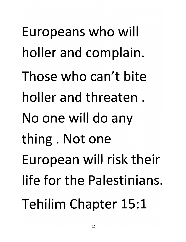Europeans who will holler and complain. Those who can't bite holler and threaten . No one will do any thing. Not one European will risk their life for the Palestinians, Tehilim Chapter 15:1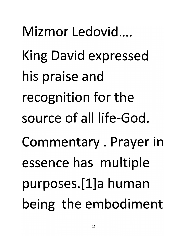*Mizmor Ledovid.... King David expressed his praise and recognition for the source of all life-God. Commentary. Prayer in essence has multiple purposes.[l]a human being the embodiment*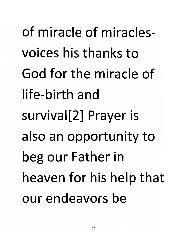*of miracle of miraclesvoices his thanks to God for the miracle of life-birth and survival[2] Prayer is also an opportunity to beg our Father in heaven for his help that our endeavors be*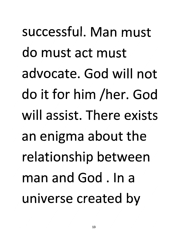*successful. Man must do must act must advocate. God will not do it for him /her. God will assist. There exists an enigma about the relationship between man and God . In a universe created by*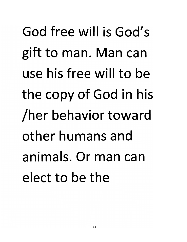God free will is God's gift to man. Man can use his free will to be the copy of God in his /her behavior toward other humans and animals. Or man can elect to be the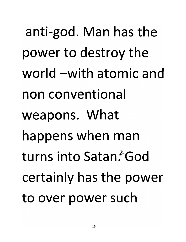anti-god. Man has the power to destroy the world -with atomic and non conventional weapons. What happens when man turns into Satan God certainly has the power to over power such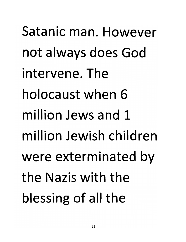*Satanic man. However not always does God intervene. The holocaust when 6 million Jews and 1 million Jewish children were exterminated by the Nazis with the blessing of all the*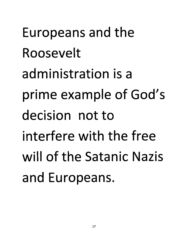Europeans and the Roosevelt administration is a prime example of God's decision not to interfere with the free will of the Satanic Nazis and Europeans.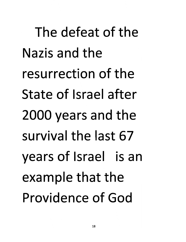*The defeat of the Nazis and the resurrection of the State of Israel after 2000 years and the survival the last 67 years of Israel is an example that the Providence of God*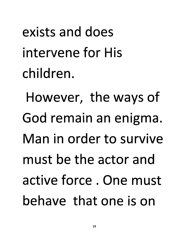*exists and does intervene for His children.*

*However, the ways of God remain an enigma. Man in order to survive must be the actor and active force . One must behave that one is on*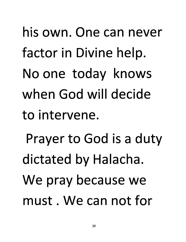his own. One can never factor in Divine help. No one today knows when God will decide to intervene. Prayer to God is a duty dictated by Halacha. We pray because we must. We can not for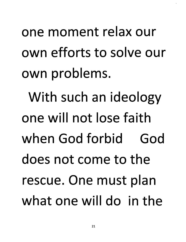one moment relax our own efforts to solve our own problems.

With such an ideology one will not lose faith when God forbid God does not come to the rescue. One must plan what one will do in the